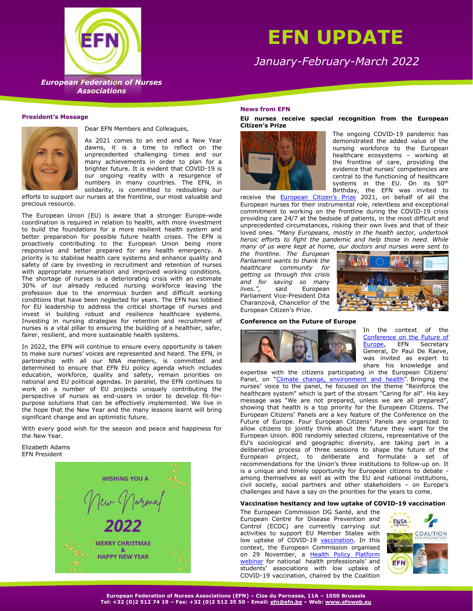# **EFN UPDATE**

*January-February-March 2022*



**European Federation of Nurses**  *European Federation of Nurses*  **Associations** *Associations*

## **President's Message**



Dear EFN Members and Colleagues,

As 2021 comes to an end and a New Year dawns, it is a time to reflect on the unprecedented challenging times and our many achievements in order to plan for a brighter future. It is evident that COVID-19 is our ongoing reality with a resurgence of numbers in many countries. The EFN, in solidarity, is committed to redoubling our

efforts to support our nurses at the frontline, our most valuable and precious resource.

The European Union (EU) is aware that a stronger Europe-wide coordination is required in relation to health, with more investment to build the foundations for a more resilient health system and better preparation for possible future health crises. The EFN is proactively contributing to the European Union being more responsive and better prepared for any health emergency. A priority is to stabilise health care systems and enhance quality and safety of care by investing in recruitment and retention of nurses with appropriate renumeration and improved working conditions. The shortage of nurses is a deteriorating crisis with an estimate 30% of our already reduced nursing workforce leaving the profession due to the enormous burden and difficult working conditions that have been neglected for years. The EFN has lobbied for EU leadership to address the critical shortage of nurses and invest in building robust and resilience healthcare systems. Investing in nursing strategies for retention and recruitment of nurses is a vital pillar to ensuring the building of a healthier, safer, fairer, resilient, and more sustainable health systems.

In 2022, the EFN will continue to ensure every opportunity is taken to make sure nurses' voices are represented and heard. The EFN, in partnership with all our NNA members, is committed and determined to ensure that EFN EU policy agenda which includes education, workforce, quality and safety, remain priorities on national and EU political agendas. In parallel, the EFN continues to work on a number of EU projects uniquely contributing the perspective of nurses as end-users in order to develop fit-forpurpose solutions that can be effectively implemented. We live in the hope that the New Year and the many lessons learnt will bring significant change and an optimistic future.

With every good wish for the season and peace and happiness for the New Year.

Elizabeth Adams EFN President



#### **News from EFN**

**EU nurses receive special recognition from the European Citizen's Prize**



The ongoing COVID-19 pandemic has demonstrated the added value of the nursing workforce to the European healthcare ecosystems – working at the frontline of care, providing the evidence that nurses' competencies are central to the functioning of healthcare systems in the EU. On its 50<sup>th</sup> Birthday, the EFN was invited to

receive the [European Citizen's Prize](https://www.europarl.europa.eu/news/en/headlines/eu-affairs/20211104STO16611/award-ceremony-european-citizen-s-prize-2020-and-2021) 2021, on behalf of all the European nurses for their instrumental role, relentless and exceptional commitment to working on the frontline during the COVID-19 crisis providing care 24/7 at the bedside of patients, in the most difficult and unprecedented circumstances, risking their own lives and that of their loved ones. *"Many Europeans, mostly in the health sector, undertook heroic efforts to fight the pandemic and help those in need. While many of us were kept at home, our doctors and nurses were sent to* 

*the frontline. The European Parliament wants to thank the healthcare community for getting us through this crisis and for saving so many*  said European Parliament Vice-President Dita Charanzová, Chancellor of the European Citizen's Prize.



#### **Conference on the Future of Europe**



In the context of the Conference on the Future of<br>Europe, EFN Secretary [Europe,](https://futureu.europa.eu/pages/panels) EFN Secretary General, Dr Paul De Raeve, was invited as expert to share his knowledge and

expertise with the citizens participating in the European Citizens' Panel, on "[Climate change, environment and health](https://futureu.europa.eu/rails/active_storage/blobs/eyJfcmFpbHMiOnsibWVzc2FnZSI6IkJBaHBBajQ5IiwiZXhwIjpudWxsLCJwdXIiOiJibG9iX2lkIn19--6b0e1a23653b2295dafdb73a356d95ffdad7c0e0/Panel%203%20session%201%20Report_FINAL.pdf)". Bringing the nurses' voice to the panel, he focused on the theme "Reinforce the healthcare system" which is part of the stream "Caring for all". His key message was "We are not prepared, unless we are all prepared", showing that health is a top priority for the European Citizens. The European Citizens' Panels are a key feature of the Conference on the Future of Europe. Four European Citizens' Panels are organized to allow citizens to jointly think about the future they want for the European Union. 800 randomly selected citizens, representative of the EU's sociological and geographic diversity, are taking part in a deliberative process of three sessions to shape the future of the European project, to deliberate and formulate a set of recommendations for the Union's three institutions to follow-up on. It is a unique and timely opportunity for European citizens to debate among themselves as well as with the EU and national institutions, civil society, social partners and other stakeholders – on Europe's challenges and have a say on the priorities for the years to come.

## **Vaccination hesitancy and low uptake of COVID-19 vaccination**

The European Commission DG Santé, and the European Centre for Disease Prevention and Control (ECDC) are currently carrying out activities to support EU Member States with low uptake of COVID-19 [vaccination.](https://vaccination-info.eu/en) In this context, the European Commission organised on 29 November, a Health Policy Platform [webinar](https://webgate.ec.europa.eu/hpf/item/item/44222) for national health professionals' and students' associations with low uptake of COVID-19 vaccination, chaired by the Coalition

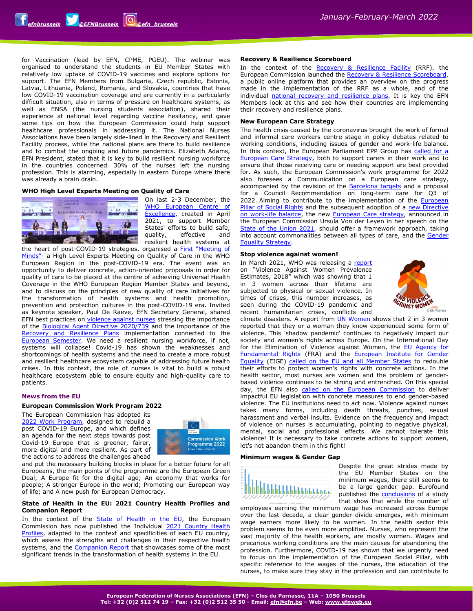for Vaccination (lead by EFN, CPME, PGEU). The webinar was organised to understand the students in EU Member States with relatively low uptake of COVID-19 vaccines and explore options for support. The EFN Members from Bulgaria, Czech republic, Estonia, Latvia, Lithuania, Poland, Romania, and Slovakia, countries that have low COVID-19 vaccination coverage and are currently in a particularly difficult situation, also in terms of pressure on healthcare systems, as well as ENSA (the nursing students association), shared their experience at national level regarding vaccine hesitancy, and gave some tips on how the European Commission could help support healthcare professionals in addressing it. The National Nurses Associations have been largely side-lined in the Recovery and Resilient Facility process, while the national plans are there to build resilience and to combat the ongoing and future pandemics. Elizabeth Adams, EFN President, stated that it is key to build resilient nursing workforce in the countries concerned. 30% of the nurses left the nursing profession. This is alarming, especially in eastern Europe where there was already a brain drain.

## **WHO High Level Experts Meeting on Quality of Care**



On last 2-3 December, the [WHO European Centre](https://www.euro.who.int/en/media-centre/events/events/2021/12/whoeurope-meeting-of-minds-on-ensuring-quality-of-care-post-covid-19) of [Excellence,](https://www.euro.who.int/en/media-centre/events/events/2021/12/whoeurope-meeting-of-minds-on-ensuring-quality-of-care-post-covid-19) created in April 2021, to support Member States' efforts to build safe, quality, effective and resilient health systems at

the heart of post-COVID-19 strategies, organised a First "[Meeting of](https://www.euro.who.int/en/media-centre/events/events/2021/12/whoeurope-meeting-of-minds-on-ensuring-quality-of-care-post-covid-19)  [Minds"](https://www.euro.who.int/en/media-centre/events/events/2021/12/whoeurope-meeting-of-minds-on-ensuring-quality-of-care-post-covid-19)- a High Level Experts Meeting on Quality of Care in the WHO European Region in the post-COVID-19 era. The event was an opportunity to deliver concrete, action-oriented proposals in order for quality of care to be placed at the centre of achieving Universal Health Coverage in the WHO European Region Member States and beyond, and to discuss on the principles of new quality of care initiatives for the transformation of health systems and health promotion, prevention and protection cultures in the post-COVID-19 era. Invited as keynote speaker, Paul De Raeve, EFN Secretary General, shared EFN best practices on [violence against nurses](http://www.efnweb.be/wp-content/uploads/EFN-Report-on-gender-and-profession-based-violence-against-nurses-September-2021.pdf) stressing the importance of the [Biological Agent](https://anyflip.com/eumpx/qfgb/) Directive 2020/739 and the importance of the [Recovery and Resilience Plans](https://ec.europa.eu/info/business-economy-euro/recovery-coronavirus/recovery-and-resilience-facility_en#national-recovery-and-resilience-plans) implementation connected to the [European Semester.](https://ec.europa.eu/info/business-economy-euro/economic-and-fiscal-policy-coordination/eu-economic-governance-monitoring-prevention-correction/european-semester_en) We need a resilient nursing workforce, if not, systems will collapse! Covid-19 has shown the weaknesses and shortcomings of health systems and the need to create a more robust and resilient healthcare ecosystem capable of addressing future health crises. In this context, the role of nurses is vital to build a robust healthcare ecosystem able to ensure equity and high-quality care to patients.

#### **News from the EU**

#### **European Commission Work Program 2022**

The European Commission has adopted its [2022 Work Program,](https://ec.europa.eu/info/publications/2022-commission-work-programme-key-documents_en) designed to rebuild a post COVID-19 Europe, and which defines an agenda for the next steps towards post Covid-19 Europe that is greener, fairer, more digital and more resilient. As part of the actions to address the challenges ahead



and put the necessary building blocks in place for a better future for all Europeans, the main points of the programme are the European Green Deal; A Europe fit for the digital age; An economy that works for people; A stronger Europe in the world; Promoting our European way of life; and A new push for European Democracy.

#### **State of Health in the EU: 2021 Country Health Profiles and Companion Report**

In the context of the [State of Health in the EU,](https://ec.europa.eu/health/state/summary_en) the European Commission has now published the Individual [2021 Country Health](https://ec.europa.eu/health/state/country_profiles_en)  [Profiles,](https://ec.europa.eu/health/state/country_profiles_en) adapted to the context and specificities of each EU country, which assess the strengths and challenges in their respective health systems, and the [Companion Report](https://ec.europa.eu/health/state/companion_report_en) that showcases some of the most significant trends in the transformation of health systems in the EU.

## **Recovery & Resilience Scoreboard**

In the context of the [Recovery & Resilience Facility](https://ec.europa.eu/info/business-economy-euro/recovery-coronavirus/recovery-and-resilience-facility_en) (RRF), the European Commission launched the [Recovery & Resilience Scoreboard,](https://ec.europa.eu/economy_finance/recovery-and-resilience-scoreboard/) a public online platform that provides an overview on the progress made in the implementation of the RRF as a whole, and of the individual [national recovery and resilience plans.](https://ec.europa.eu/info/business-economy-euro/recovery-coronavirus/recovery-and-resilience-facility_en#national-recovery-and-resilience-plans) It is key the EFN Members look at this and see how their countries are implementing their recovery and resilience plans.

## **New European Care Strategy**

The health crisis caused by the coronavirus brought the work of formal and informal care workers centre stage in policy debates related to working conditions, including issues of gender and work-life balance. In this context, the European Parliament EPP Group has called for a **European Care Strategy**, both to support carers in their work and to ensure that those receiving care or needing support are best provided for. As such, the European Commission's work programme for 2022 also foresees a Communication on a European care strategy, accompanied by the revision of the **Barcelona targets** and a proposal for a Council Recommendation on long-term care for Q3 of 2022. Aiming to contribute to the implementation of the [European](https://ec.europa.eu/info/strategy/priorities-2019-2024/economy-works-people/jobs-growth-and-investment/european-pillar-social-rights_en)  [Pillar of Social Rights](https://ec.europa.eu/info/strategy/priorities-2019-2024/economy-works-people/jobs-growth-and-investment/european-pillar-social-rights_en) and the subsequent adoption of a new Directive [on work-life balance,](https://www.europarl.europa.eu/thinktank/en/document/EPRS_BRI(2018)614708) the new [European Care strategy,](https://www.europarl.europa.eu/legislative-train/api/stages/report/current/theme/promoting-our-european-way-of-life/file/european-care-strategy) announced in the European Commission Ursula Von der Leyen in her speech on the [State of the Union 2021,](https://ec.europa.eu/info/strategy/strategic-planning/state-union-addresses/state-union-2021_en) should offer a framework approach, taking into account commonalities between all types of care, and the [Gender](https://ec.europa.eu/info/policies/justice-and-fundamental-rights/gender-equality/gender-equality-strategy_en)  [Equality Strategy.](https://ec.europa.eu/info/policies/justice-and-fundamental-rights/gender-equality/gender-equality-strategy_en)

#### **Stop violence against women!**

In March 2021, WHO was releasing a [report](https://www.who.int/publications-detail-redirect/9789240026681) on "Violence Against Women Prevalence Estimates, 2018" which was showing that 1 in 3 women across their lifetime are subjected to physical or sexual violence. In times of crises, this number increases, as seen during the COVID-19 pandemic and recent humanitarian crises, conflicts and



climate disasters. A report from **UN Women** shows that 2 in 3 women reported that they or a woman they know experienced some form of violence. This 'shadow pandemic' continues to negatively impact our society and women's rights across Europe. On the International Day for the Elimination of Violence against Women, the EU Agency for [Fundamental Rights](https://fra.europa.eu/en) (FRA) and the European Institute for Gender [Equality](https://eige.europa.eu/) (EIGE) called [on the EU and all Member States](https://fra.europa.eu/en/news/2021/eu-rights-and-equality-agency-heads-eu-countries-must-work-together-eradicate-violence) to redouble their efforts to protect women's rights with concrete actions. In the health sector, most nurses are women and the problem of genderbased violence continues to be strong and entrenched. On this special day, the EFN also [called on the European Commission](http://www.efnweb.be/?p=13785) to deliver impactful EU legislation with concrete measures to end gender-based violence. The EU institutions need to act now. Violence against nurses takes many forms, including death threats, punches, sexual harassment and verbal insults. Evidence on the frequency and impact of violence on nurses is accumulating, pointing to negative physical, mental, social and professional effects. We cannot tolerate this violence! It is necessary to take concrete actions to support women, let's not abandon them in this fight!

## **Minimum wages & Gender Gap**



Despite the great strides made by the EU Member States on the minimum wages, there still seems to be a large gender gap. Eurofound published the **conclusions** of a study that show that while the number of

employees earning the minimum wage has increased across Europe over the last decade, a clear gender divide emerges, with minimum wage earners more likely to be women. In the health sector this problem seems to be even more amplified. Nurses, who represent the vast majority of the health workers, are mostly women. Wages and precarious working conditions are the main causes for abandoning the profession. Furthermore, COVID-19 has shown that we urgently need to focus on the implementation of the European Social Pillar, with specific reference to the wages of the nurses, the education of the nurses, to make sure they stay in the profession and can contribute to